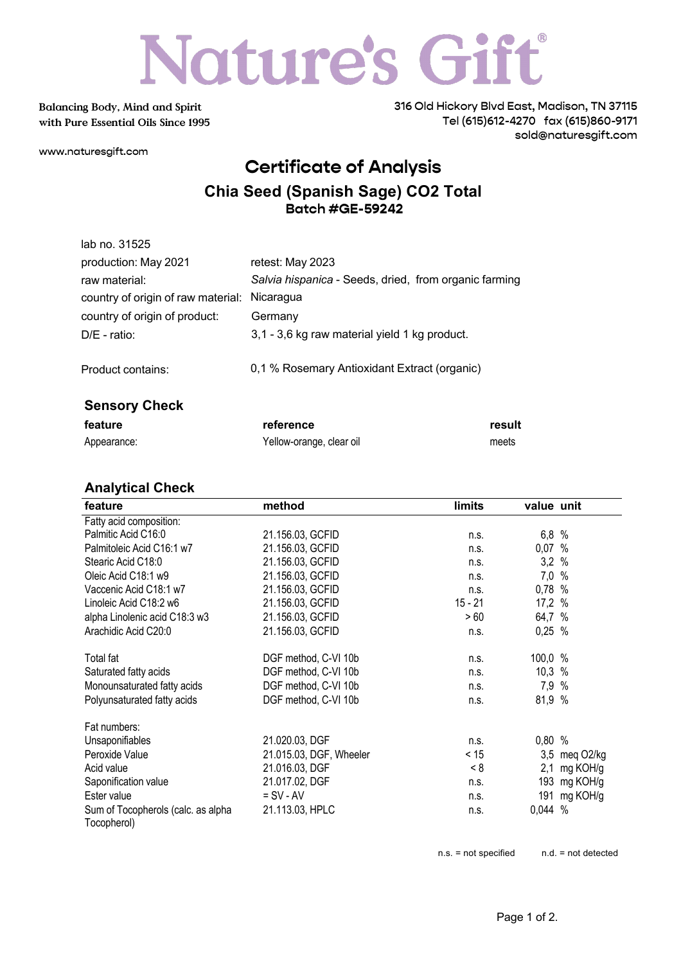# Nature's Gift<sup>®</sup>

**Balancing Body, Mind and Spirit with Pure Essential Oils Since 1995** 316 Old Hickory Blvd East, Madison, TN 37115 Tel (615)612-4270 fax (615)860-9171 sold@naturesgift.com

www.naturesgift.com

### **Certificate of Analysis**

#### **Chia Seed (Spanish Sage) CO2 Total Batch #GE-59242**

| lab no. 31525                      |                                                       |
|------------------------------------|-------------------------------------------------------|
| production: May 2021               | retest: May 2023                                      |
| raw material:                      | Salvia hispanica - Seeds, dried, from organic farming |
| country of origin of raw material: | Nicaragua                                             |
| country of origin of product:      | Germany                                               |
| $D/E$ - ratio:                     | 3,1 - 3,6 kg raw material yield 1 kg product.         |
| Product contains:                  | 0,1 % Rosemary Antioxidant Extract (organic)          |
| <b>Sensory Check</b>               |                                                       |

| feature     | reference                | result |
|-------------|--------------------------|--------|
| Appearance: | Yellow-orange, clear oil | meets  |

#### **Analytical Check**

| feature                                           | method                  | limits    | value unit |              |
|---------------------------------------------------|-------------------------|-----------|------------|--------------|
| Fatty acid composition:                           |                         |           |            |              |
| Palmitic Acid C16:0                               | 21.156.03, GCFID        | n.s.      | 6,8%       |              |
| Palmitoleic Acid C16:1 w7                         | 21.156.03, GCFID        | n.s.      | 0,07 %     |              |
| Stearic Acid C18:0                                | 21.156.03, GCFID        | n.s.      | 3,2%       |              |
| Oleic Acid C18:1 w9                               | 21.156.03, GCFID        | n.s.      | $7,0$ %    |              |
| Vaccenic Acid C18:1 w7                            | 21.156.03, GCFID        | n.s.      | 0,78 %     |              |
| Linoleic Acid C18:2 w6                            | 21.156.03, GCFID        | $15 - 21$ | 17,2 %     |              |
| alpha Linolenic acid C18:3 w3                     | 21.156.03, GCFID        | > 60      | 64,7 %     |              |
| Arachidic Acid C20:0                              | 21.156.03, GCFID        | n.s.      | $0,25$ %   |              |
| Total fat                                         | DGF method, C-VI 10b    | n.s.      | 100,0 %    |              |
| Saturated fatty acids                             | DGF method, C-VI 10b    | n.s.      | $10,3$ %   |              |
| Monounsaturated fatty acids                       | DGF method, C-VI 10b    | n.s.      | 7,9 %      |              |
| Polyunsaturated fatty acids                       | DGF method, C-VI 10b    | n.s.      | 81,9 %     |              |
| Fat numbers:                                      |                         |           |            |              |
| Unsaponifiables                                   | 21.020.03, DGF          | n.s.      | 0,80%      |              |
| Peroxide Value                                    | 21.015.03, DGF, Wheeler | < 15      | 3,5        | meg O2/kg    |
| Acid value                                        | 21.016.03, DGF          | - 8       | 2,1        | mg KOH/g     |
| Saponification value                              | 21.017.02, DGF          | n.s.      | 193        | mg KOH/g     |
| Ester value                                       | $=$ SV - AV             | n.s.      |            | 191 mg KOH/g |
| Sum of Tocopherols (calc. as alpha<br>Tocopherol) | 21.113.03, HPLC         | n.s.      | $0,044$ %  |              |

n.s. = not specified n.d. = not detected